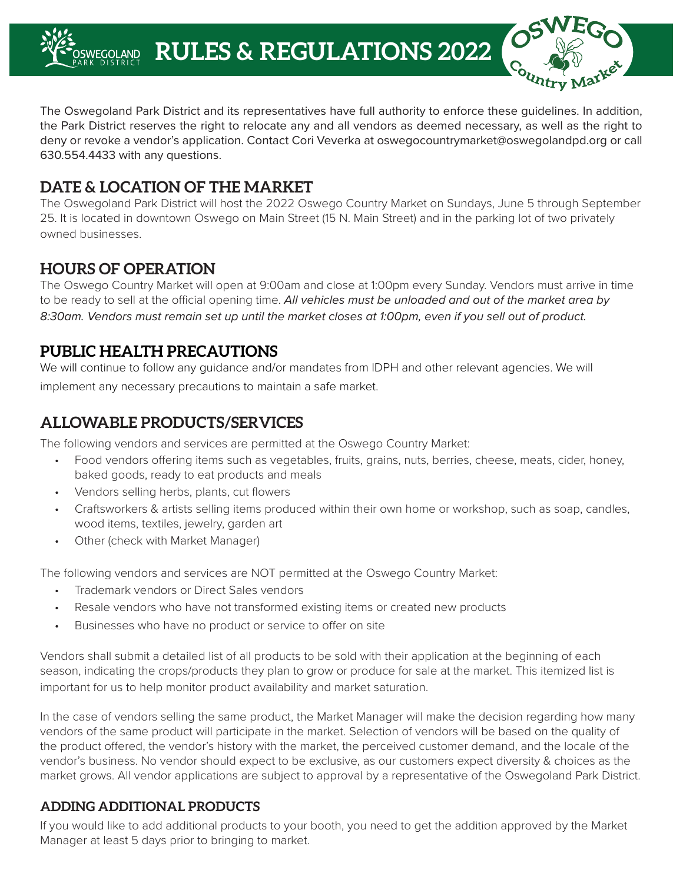**RULES & REGULATIONS 2022NEGOI AND** 

The Oswegoland Park District and its representatives have full authority to enforce these guidelines. In addition, the Park District reserves the right to relocate any and all vendors as deemed necessary, as well as the right to deny or revoke a vendor's application. Contact Cori Veverka at oswegocountrymarket@oswegolandpd.org or call 630.554.4433 with any questions.

# **DATE & LOCATION OF THE MARKET**

The Oswegoland Park District will host the 2022 Oswego Country Market on Sundays, June 5 through September 25. It is located in downtown Oswego on Main Street (15 N. Main Street) and in the parking lot of two privately owned businesses.

### **HOURS OF OPERATION**

The Oswego Country Market will open at 9:00am and close at 1:00pm every Sunday. Vendors must arrive in time to be ready to sell at the official opening time. *All vehicles must be unloaded and out of the market area by 8:30am. Vendors must remain set up until the market closes at 1:00pm, even if you sell out of product.* 

# **PUBLIC HEALTH PRECAUTIONS**

We will continue to follow any guidance and/or mandates from IDPH and other relevant agencies. We will implement any necessary precautions to maintain a safe market.

# **ALLOWABLE PRODUCTS/SERVICES**

The following vendors and services are permitted at the Oswego Country Market:

- Food vendors offering items such as vegetables, fruits, grains, nuts, berries, cheese, meats, cider, honey, baked goods, ready to eat products and meals
- Vendors selling herbs, plants, cut flowers
- Craftsworkers & artists selling items produced within their own home or workshop, such as soap, candles, wood items, textiles, jewelry, garden art
- Other (check with Market Manager)

The following vendors and services are NOT permitted at the Oswego Country Market:

- Trademark vendors or Direct Sales vendors
- Resale vendors who have not transformed existing items or created new products
- Businesses who have no product or service to offer on site

Vendors shall submit a detailed list of all products to be sold with their application at the beginning of each season, indicating the crops/products they plan to grow or produce for sale at the market. This itemized list is important for us to help monitor product availability and market saturation.

In the case of vendors selling the same product, the Market Manager will make the decision regarding how many vendors of the same product will participate in the market. Selection of vendors will be based on the quality of the product offered, the vendor's history with the market, the perceived customer demand, and the locale of the vendor's business. No vendor should expect to be exclusive, as our customers expect diversity & choices as the market grows. All vendor applications are subject to approval by a representative of the Oswegoland Park District.

#### **ADDING ADDITIONAL PRODUCTS**

If you would like to add additional products to your booth, you need to get the addition approved by the Market Manager at least 5 days prior to bringing to market.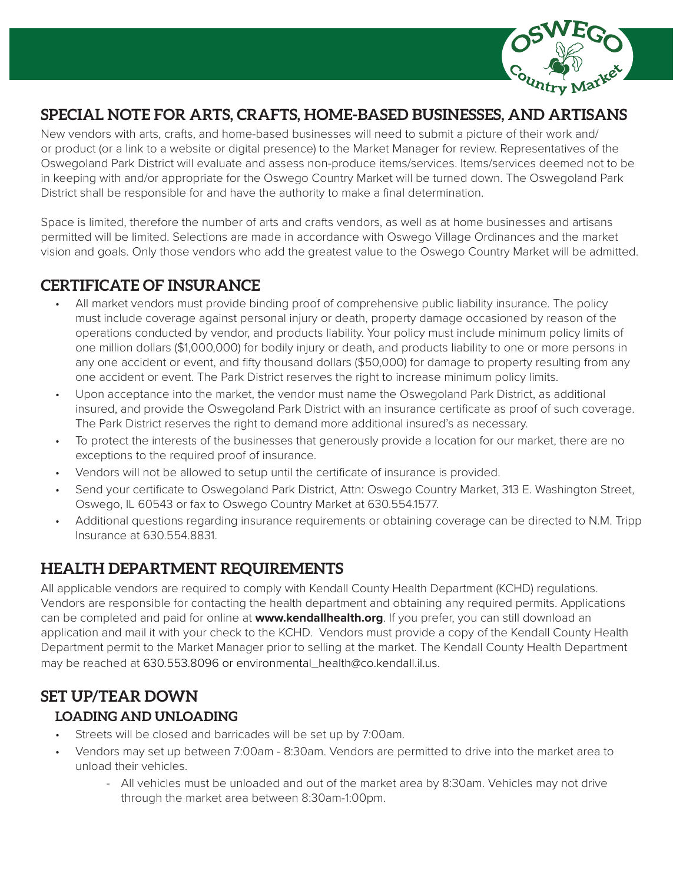

# **SPECIAL NOTE FOR ARTS, CRAFTS, HOME-BASED BUSINESSES, AND ARTISANS**

New vendors with arts, crafts, and home-based businesses will need to submit a picture of their work and/ or product (or a link to a website or digital presence) to the Market Manager for review. Representatives of the Oswegoland Park District will evaluate and assess non-produce items/services. Items/services deemed not to be in keeping with and/or appropriate for the Oswego Country Market will be turned down. The Oswegoland Park District shall be responsible for and have the authority to make a final determination.

Space is limited, therefore the number of arts and crafts vendors, as well as at home businesses and artisans permitted will be limited. Selections are made in accordance with Oswego Village Ordinances and the market vision and goals. Only those vendors who add the greatest value to the Oswego Country Market will be admitted.

### **CERTIFICATE OF INSURANCE**

- All market vendors must provide binding proof of comprehensive public liability insurance. The policy must include coverage against personal injury or death, property damage occasioned by reason of the operations conducted by vendor, and products liability. Your policy must include minimum policy limits of one million dollars (\$1,000,000) for bodily injury or death, and products liability to one or more persons in any one accident or event, and fifty thousand dollars (\$50,000) for damage to property resulting from any one accident or event. The Park District reserves the right to increase minimum policy limits.
- Upon acceptance into the market, the vendor must name the Oswegoland Park District, as additional insured, and provide the Oswegoland Park District with an insurance certificate as proof of such coverage. The Park District reserves the right to demand more additional insured's as necessary.
- To protect the interests of the businesses that generously provide a location for our market, there are no exceptions to the required proof of insurance.
- Vendors will not be allowed to setup until the certificate of insurance is provided.
- Send your certificate to Oswegoland Park District, Attn: Oswego Country Market, 313 E. Washington Street, Oswego, IL 60543 or fax to Oswego Country Market at 630.554.1577.
- Additional questions regarding insurance requirements or obtaining coverage can be directed to N.M. Tripp Insurance at 630.554.8831.

# **HEALTH DEPARTMENT REQUIREMENTS**

All applicable vendors are required to comply with Kendall County Health Department (KCHD) regulations. Vendors are responsible for contacting the health department and obtaining any required permits. Applications can be completed and paid for online at **www.kendallhealth.org**. If you prefer, you can still download an application and mail it with your check to the KCHD. Vendors must provide a copy of the Kendall County Health Department permit to the Market Manager prior to selling at the market. The Kendall County Health Department may be reached at 630.553.8096 or environmental\_health@co.kendall.il.us.

### **SET UP/TEAR DOWN LOADING AND UNLOADING**

- Streets will be closed and barricades will be set up by 7:00am.
- Vendors may set up between 7:00am 8:30am. Vendors are permitted to drive into the market area to unload their vehicles.
	- All vehicles must be unloaded and out of the market area by 8:30am. Vehicles may not drive through the market area between 8:30am-1:00pm.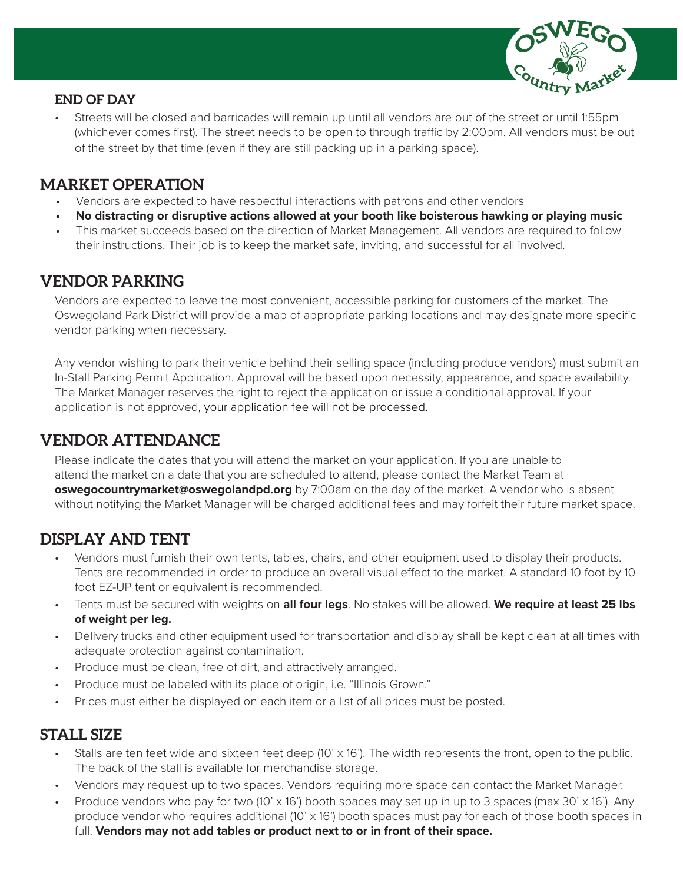

#### **END OF DAY**

• Streets will be closed and barricades will remain up until all vendors are out of the street or until 1:55pm (whichever comes first). The street needs to be open to through traffic by 2:00pm. All vendors must be out of the street by that time (even if they are still packing up in a parking space).

## **MARKET OPERATION**

- Vendors are expected to have respectful interactions with patrons and other vendors
- **• No distracting or disruptive actions allowed at your booth like boisterous hawking or playing music**
- This market succeeds based on the direction of Market Management. All vendors are required to follow their instructions. Their job is to keep the market safe, inviting, and successful for all involved.

# **VENDOR PARKING**

Vendors are expected to leave the most convenient, accessible parking for customers of the market. The Oswegoland Park District will provide a map of appropriate parking locations and may designate more specific vendor parking when necessary.

Any vendor wishing to park their vehicle behind their selling space (including produce vendors) must submit an In-Stall Parking Permit Application. Approval will be based upon necessity, appearance, and space availability. The Market Manager reserves the right to reject the application or issue a conditional approval. If your application is not approved, your application fee will not be processed.

# **VENDOR ATTENDANCE**

Please indicate the dates that you will attend the market on your application. If you are unable to attend the market on a date that you are scheduled to attend, please contact the Market Team at **oswegocountrymarket@oswegolandpd.org** by 7:00am on the day of the market. A vendor who is absent without notifying the Market Manager will be charged additional fees and may forfeit their future market space.

# **DISPLAY AND TENT**

- Vendors must furnish their own tents, tables, chairs, and other equipment used to display their products. Tents are recommended in order to produce an overall visual effect to the market. A standard 10 foot by 10 foot EZ-UP tent or equivalent is recommended.
- Tents must be secured with weights on **all four legs**. No stakes will be allowed. **We require at least 25 lbs of weight per leg.**
- Delivery trucks and other equipment used for transportation and display shall be kept clean at all times with adequate protection against contamination.
- Produce must be clean, free of dirt, and attractively arranged.
- Produce must be labeled with its place of origin, i.e. "Illinois Grown."
- Prices must either be displayed on each item or a list of all prices must be posted.

# **STALL SIZE**

- Stalls are ten feet wide and sixteen feet deep (10'  $\times$  16'). The width represents the front, open to the public. The back of the stall is available for merchandise storage.
- Vendors may request up to two spaces. Vendors requiring more space can contact the Market Manager.
- Produce vendors who pay for two (10' x 16') booth spaces may set up in up to 3 spaces (max 30' x 16'). Any produce vendor who requires additional (10' x 16') booth spaces must pay for each of those booth spaces in full. **Vendors may not add tables or product next to or in front of their space.**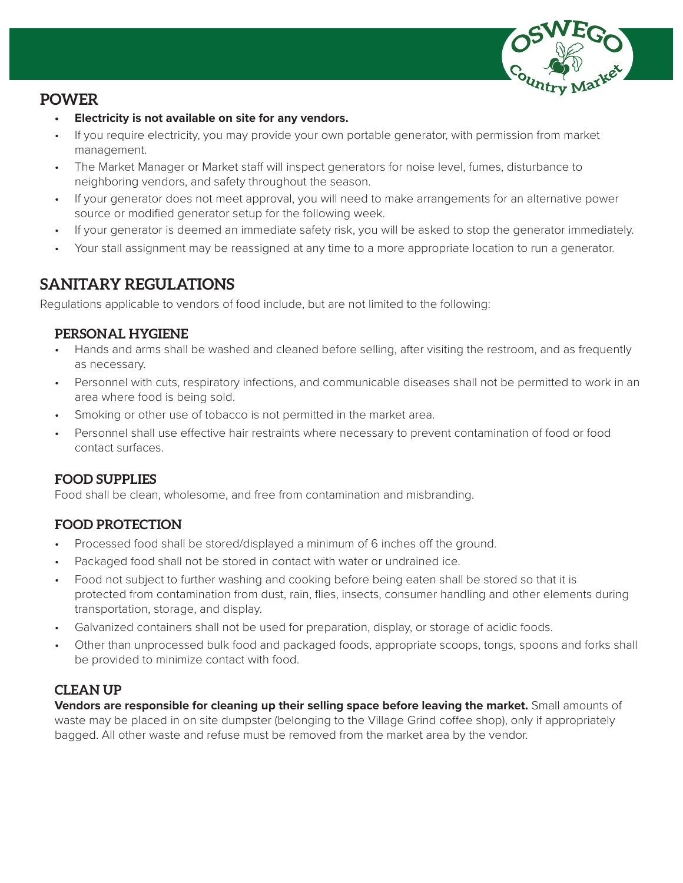

### **POWER**

- **• Electricity is not available on site for any vendors.**
- If you require electricity, you may provide your own portable generator, with permission from market management.
- The Market Manager or Market staff will inspect generators for noise level, fumes, disturbance to neighboring vendors, and safety throughout the season.
- If your generator does not meet approval, you will need to make arrangements for an alternative power source or modified generator setup for the following week.
- If your generator is deemed an immediate safety risk, you will be asked to stop the generator immediately.
- Your stall assignment may be reassigned at any time to a more appropriate location to run a generator.

### **SANITARY REGULATIONS**

Regulations applicable to vendors of food include, but are not limited to the following:

#### **PERSONAL HYGIENE**

- Hands and arms shall be washed and cleaned before selling, after visiting the restroom, and as frequently as necessary.
- Personnel with cuts, respiratory infections, and communicable diseases shall not be permitted to work in an area where food is being sold.
- Smoking or other use of tobacco is not permitted in the market area.
- Personnel shall use effective hair restraints where necessary to prevent contamination of food or food contact surfaces.

#### **FOOD SUPPLIES**

Food shall be clean, wholesome, and free from contamination and misbranding.

#### **FOOD PROTECTION**

- Processed food shall be stored/displayed a minimum of 6 inches off the ground.
- Packaged food shall not be stored in contact with water or undrained ice.
- Food not subject to further washing and cooking before being eaten shall be stored so that it is protected from contamination from dust, rain, flies, insects, consumer handling and other elements during transportation, storage, and display.
- Galvanized containers shall not be used for preparation, display, or storage of acidic foods.
- Other than unprocessed bulk food and packaged foods, appropriate scoops, tongs, spoons and forks shall be provided to minimize contact with food.

#### **CLEAN UP**

**Vendors are responsible for cleaning up their selling space before leaving the market.** Small amounts of waste may be placed in on site dumpster (belonging to the Village Grind coffee shop), only if appropriately bagged. All other waste and refuse must be removed from the market area by the vendor.